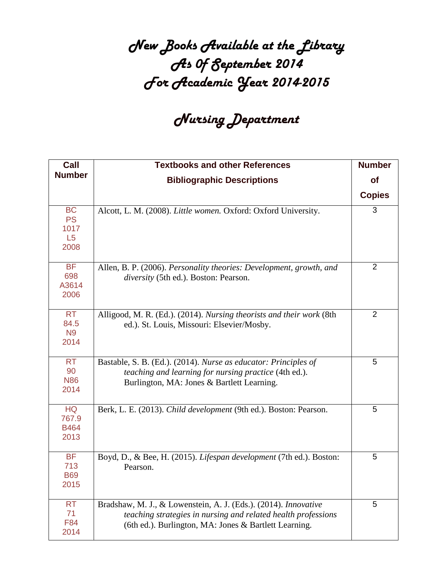## *New Books Available at the Library As 0f September 2014 For Academic Year 2014-2015*

## *Nursing Department*

| Call                                         | <b>Textbooks and other References</b>                                                                                                                                                     | <b>Number</b>  |
|----------------------------------------------|-------------------------------------------------------------------------------------------------------------------------------------------------------------------------------------------|----------------|
| <b>Number</b>                                | <b>Bibliographic Descriptions</b>                                                                                                                                                         | of             |
|                                              |                                                                                                                                                                                           | <b>Copies</b>  |
| <b>BC</b><br><b>PS</b><br>1017<br>L5<br>2008 | Alcott, L. M. (2008). Little women. Oxford: Oxford University.                                                                                                                            | 3              |
| <b>BF</b><br>698<br>A3614<br>2006            | Allen, B. P. (2006). Personality theories: Development, growth, and<br>diversity (5th ed.). Boston: Pearson.                                                                              | 2              |
| <b>RT</b><br>84.5<br>N <sub>9</sub><br>2014  | Alligood, M. R. (Ed.). (2014). Nursing theorists and their work (8th<br>ed.). St. Louis, Missouri: Elsevier/Mosby.                                                                        | $\overline{2}$ |
| <b>RT</b><br>90<br><b>N86</b><br>2014        | Bastable, S. B. (Ed.). (2014). Nurse as educator: Principles of<br>teaching and learning for nursing practice (4th ed.).<br>Burlington, MA: Jones & Bartlett Learning.                    | 5              |
| <b>HQ</b><br>767.9<br><b>B464</b><br>2013    | Berk, L. E. (2013). Child development (9th ed.). Boston: Pearson.                                                                                                                         | 5              |
| <b>BF</b><br>713<br><b>B69</b><br>2015       | Boyd, D., & Bee, H. (2015). Lifespan development (7th ed.). Boston:<br>Pearson.                                                                                                           | 5              |
| <b>RT</b><br>71<br>F84<br>2014               | Bradshaw, M. J., & Lowenstein, A. J. (Eds.). (2014). Innovative<br>teaching strategies in nursing and related health professions<br>(6th ed.). Burlington, MA: Jones & Bartlett Learning. | 5              |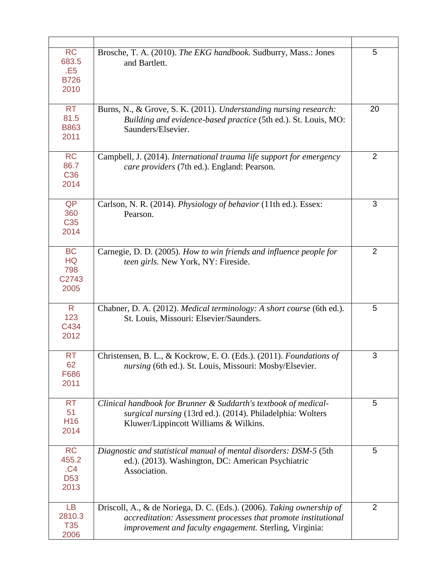| <b>RC</b><br>683.5<br>.E <sub>5</sub><br><b>B726</b><br>2010 | Brosche, T. A. (2010). The EKG handbook. Sudburry, Mass.: Jones<br>and Bartlett.                                                                                                                   | 5              |
|--------------------------------------------------------------|----------------------------------------------------------------------------------------------------------------------------------------------------------------------------------------------------|----------------|
| <b>RT</b><br>81.5<br><b>B863</b><br>2011                     | Burns, N., & Grove, S. K. (2011). Understanding nursing research:<br>Building and evidence-based practice (5th ed.). St. Louis, MO:<br>Saunders/Elsevier.                                          | 20             |
| <b>RC</b><br>86.7<br>C36<br>2014                             | Campbell, J. (2014). International trauma life support for emergency<br>care providers (7th ed.). England: Pearson.                                                                                | $\overline{2}$ |
| QP<br>360<br>C <sub>35</sub><br>2014                         | Carlson, N. R. (2014). Physiology of behavior (11th ed.). Essex:<br>Pearson.                                                                                                                       | 3              |
| <b>BC</b><br><b>HQ</b><br>798<br>C2743<br>2005               | Carnegie, D. D. (2005). How to win friends and influence people for<br>teen girls. New York, NY: Fireside.                                                                                         | $\overline{2}$ |
| R.<br>123<br>C434<br>2012                                    | Chabner, D. A. (2012). Medical terminology: A short course (6th ed.).<br>St. Louis, Missouri: Elsevier/Saunders.                                                                                   | 5              |
| <b>RT</b><br>62<br>F686<br>2011                              | Christensen, B. L., & Kockrow, E. O. (Eds.). (2011). Foundations of<br>nursing (6th ed.). St. Louis, Missouri: Mosby/Elsevier.                                                                     | 3              |
| <b>RT</b><br>51<br>H <sub>16</sub><br>2014                   | Clinical handbook for Brunner & Suddarth's textbook of medical-<br>surgical nursing (13rd ed.). (2014). Philadelphia: Wolters<br>Kluwer/Lippincott Williams & Wilkins.                             | 5              |
| <b>RC</b><br>455.2<br>.C4<br><b>D53</b><br>2013              | Diagnostic and statistical manual of mental disorders: DSM-5 (5th<br>ed.). (2013). Washington, DC: American Psychiatric<br>Association.                                                            | 5              |
| <b>LB</b><br>2810.3<br><b>T35</b><br>2006                    | Driscoll, A., & de Noriega, D. C. (Eds.). (2006). Taking ownership of<br>accreditation: Assessment processes that promote institutional<br>improvement and faculty engagement. Sterling, Virginia: | $\overline{2}$ |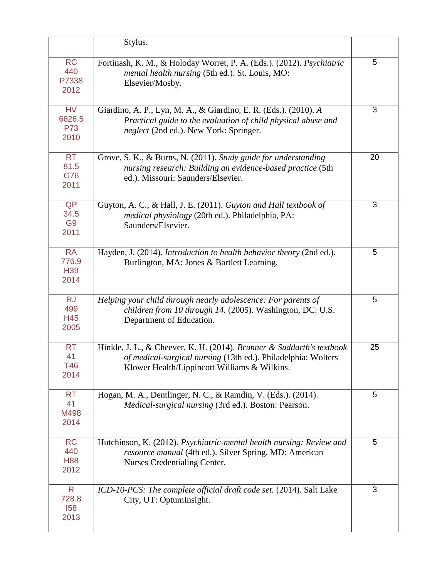|                                           | Stylus.                                                                                                                                                                                |    |
|-------------------------------------------|----------------------------------------------------------------------------------------------------------------------------------------------------------------------------------------|----|
| <b>RC</b><br>440<br>P7338<br>2012         | Fortinash, K. M., & Holoday Worret, P. A. (Eds.). (2012). Psychiatric<br>mental health nursing (5th ed.). St. Louis, MO:<br>Elsevier/Mosby.                                            | 5  |
| <b>HV</b><br>6626.5<br><b>P73</b><br>2010 | Giardino, A. P., Lyn, M. A., & Giardino, E. R. (Eds.). (2010). A<br>Practical guide to the evaluation of child physical abuse and<br>neglect (2nd ed.). New York: Springer.            | 3  |
| <b>RT</b><br>81.5<br>G76<br>2011          | Grove, S. K., & Burns, N. (2011). Study guide for understanding<br>nursing research: Building an evidence-based practice (5th<br>ed.). Missouri: Saunders/Elsevier.                    | 20 |
| QP<br>34.5<br>G <sub>9</sub><br>2011      | Guyton, A. C., & Hall, J. E. (2011). Guyton and Hall textbook of<br>medical physiology (20th ed.). Philadelphia, PA:<br>Saunders/Elsevier.                                             | 3  |
| <b>RA</b><br>776.9<br>H39<br>2014         | Hayden, J. (2014). Introduction to health behavior theory (2nd ed.).<br>Burlington, MA: Jones & Bartlett Learning.                                                                     | 5  |
| <b>RJ</b><br>499<br>H45<br>2005           | Helping your child through nearly adolescence: For parents of<br>children from 10 through 14. (2005). Washington, DC: U.S.<br>Department of Education.                                 | 5  |
| <b>RT</b><br>41<br>T46<br>2014            | Hinkle, J. L., & Cheever, K. H. (2014). Brunner & Suddarth's textbook<br>of medical-surgical nursing (13th ed.). Philadelphia: Wolters<br>Klower Health/Lippincott Williams & Wilkins. | 25 |
| <b>RT</b><br>41<br>M498<br>2014           | Hogan, M. A., Dentlinger, N. C., & Ramdin, V. (Eds.). (2014).<br>Medical-surgical nursing (3rd ed.). Boston: Pearson.                                                                  | 5  |
| <b>RC</b><br>440<br><b>H88</b><br>2012    | Hutchinson, K. (2012). Psychiatric-mental health nursing: Review and<br>resource manual (4th ed.). Silver Spring, MD: American<br>Nurses Credentialing Center.                         | 5  |
| $\mathsf{R}$<br>728.8<br>158<br>2013      | ICD-10-PCS: The complete official draft code set. (2014). Salt Lake<br>City, UT: OptumInsight.                                                                                         | 3  |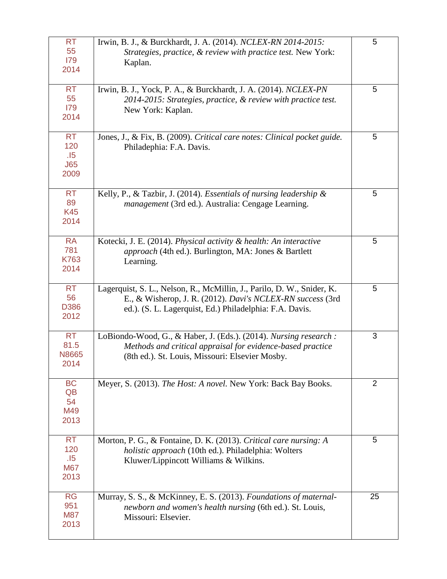| <b>RT</b><br>55<br>179<br>2014                | Irwin, B. J., & Burckhardt, J. A. (2014). NCLEX-RN 2014-2015:<br>Strategies, practice, & review with practice test. New York:<br>Kaplan.                                                        | 5              |
|-----------------------------------------------|-------------------------------------------------------------------------------------------------------------------------------------------------------------------------------------------------|----------------|
| <b>RT</b><br>55<br>179<br>2014                | Irwin, B. J., Yock, P. A., & Burckhardt, J. A. (2014). NCLEX-PN<br>2014-2015: Strategies, practice, & review with practice test.<br>New York: Kaplan.                                           | 5              |
| <b>RT</b><br>120<br>.15<br>J65<br>2009        | Jones, J., & Fix, B. (2009). Critical care notes: Clinical pocket guide.<br>Philadephia: F.A. Davis.                                                                                            | 5              |
| <b>RT</b><br>89<br><b>K45</b><br>2014         | Kelly, P., & Tazbir, J. (2014). Essentials of nursing leadership $\&$<br>management (3rd ed.). Australia: Cengage Learning.                                                                     | 5              |
| <b>RA</b><br>781<br>K763<br>2014              | Kotecki, J. E. (2014). Physical activity & health: An interactive<br>approach (4th ed.). Burlington, MA: Jones & Bartlett<br>Learning.                                                          | 5              |
| <b>RT</b><br>56<br>D386<br>2012               | Lagerquist, S. L., Nelson, R., McMillin, J., Parilo, D. W., Snider, K.<br>E., & Wisherop, J. R. (2012). Davi's NCLEX-RN success (3rd<br>ed.). (S. L. Lagerquist, Ed.) Philadelphia: F.A. Davis. | 5              |
| <b>RT</b><br>81.5<br>N8665<br>2014            | LoBiondo-Wood, G., & Haber, J. (Eds.). (2014). Nursing research :<br>Methods and critical appraisal for evidence-based practice<br>(8th ed.). St. Louis, Missouri: Elsevier Mosby.              | 3              |
| <b>BC</b><br>QB<br>54<br>M49<br>2013          | Meyer, S. (2013). The Host: A novel. New York: Back Bay Books.                                                                                                                                  | $\overline{2}$ |
| <b>RT</b><br>120<br>.15<br><b>M67</b><br>2013 | Morton, P. G., & Fontaine, D. K. (2013). Critical care nursing: A<br>holistic approach (10th ed.). Philadelphia: Wolters<br>Kluwer/Lippincott Williams & Wilkins.                               | 5              |
| <b>RG</b><br>951<br><b>M87</b><br>2013        | Murray, S. S., & McKinney, E. S. (2013). Foundations of maternal-<br>newborn and women's health nursing (6th ed.). St. Louis,<br>Missouri: Elsevier.                                            | 25             |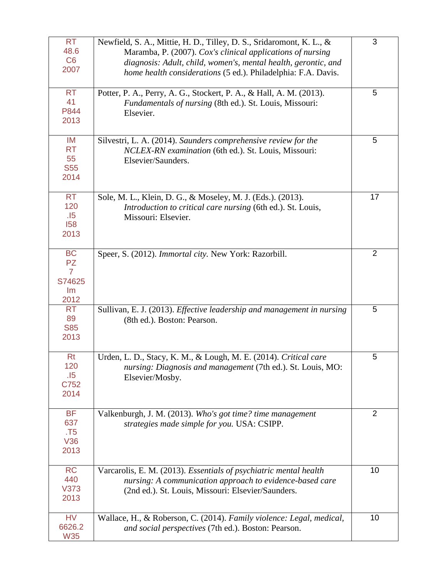| <b>RT</b><br>48.6<br>C6<br>2007                                  | Newfield, S. A., Mittie, H. D., Tilley, D. S., Sridaromont, K. L., &<br>Maramba, P. (2007). Cox's clinical applications of nursing<br>diagnosis: Adult, child, women's, mental health, gerontic, and<br>home health considerations (5 ed.). Philadelphia: F.A. Davis. | 3              |
|------------------------------------------------------------------|-----------------------------------------------------------------------------------------------------------------------------------------------------------------------------------------------------------------------------------------------------------------------|----------------|
| <b>RT</b><br>41<br>P844<br>2013                                  | Potter, P. A., Perry, A. G., Stockert, P. A., & Hall, A. M. (2013).<br><i>Fundamentals of nursing</i> (8th ed.). St. Louis, Missouri:<br>Elsevier.                                                                                                                    | 5              |
| IM<br><b>RT</b><br>55<br><b>S55</b><br>2014                      | Silvestri, L. A. (2014). Saunders comprehensive review for the<br>NCLEX-RN examination (6th ed.). St. Louis, Missouri:<br>Elsevier/Saunders.                                                                                                                          | 5              |
| <b>RT</b><br>120<br>.15<br>158<br>2013                           | Sole, M. L., Klein, D. G., & Moseley, M. J. (Eds.). (2013).<br>Introduction to critical care nursing (6th ed.). St. Louis,<br>Missouri: Elsevier.                                                                                                                     | 17             |
| <b>BC</b><br><b>PZ</b><br>$\overline{7}$<br>S74625<br>Im<br>2012 | Speer, S. (2012). Immortal city. New York: Razorbill.                                                                                                                                                                                                                 | $\overline{2}$ |
| <b>RT</b><br>89<br><b>S85</b><br>2013                            | Sullivan, E. J. (2013). Effective leadership and management in nursing<br>(8th ed.). Boston: Pearson.                                                                                                                                                                 | 5              |
| <b>Rt</b><br>120<br>.15<br>C752<br>2014                          | Urden, L. D., Stacy, K. M., & Lough, M. E. (2014). Critical care<br>nursing: Diagnosis and management (7th ed.). St. Louis, MO:<br>Elsevier/Mosby.                                                                                                                    | 5              |
| <b>BF</b><br>637<br>. T5<br>V36<br>2013                          | Valkenburgh, J. M. (2013). Who's got time? time management<br>strategies made simple for you. USA: CSIPP.                                                                                                                                                             | $\overline{2}$ |
| <b>RC</b><br>440<br>V373<br>2013                                 | Varcarolis, E. M. (2013). Essentials of psychiatric mental health<br>nursing: A communication approach to evidence-based care<br>(2nd ed.). St. Louis, Missouri: Elsevier/Saunders.                                                                                   | 10             |
| <b>HV</b><br>6626.2<br><b>W35</b>                                | Wallace, H., & Roberson, C. (2014). Family violence: Legal, medical,<br>and social perspectives (7th ed.). Boston: Pearson.                                                                                                                                           | 10             |